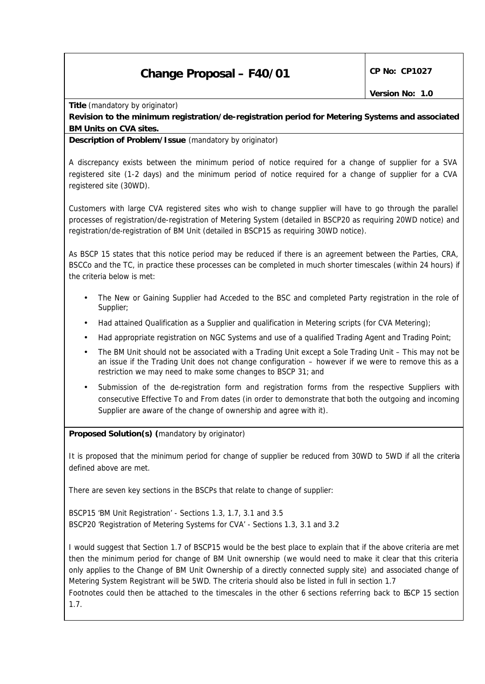# **Change Proposal – F40/01 CP No: CP1027**

**Title** *(mandatory by originator)*

**Revision to the minimum registration/de-registration period for Metering Systems and associated BM Units on CVA sites.**

**Description of Problem/Issue** *(mandatory by originator)*

A discrepancy exists between the minimum period of notice required for a change of supplier for a SVA registered site (1-2 days) and the minimum period of notice required for a change of supplier for a CVA registered site (30WD).

Customers with large CVA registered sites who wish to change supplier will have to go through the parallel processes of registration/de-registration of Metering System (detailed in BSCP20 as requiring 20WD notice) and registration/de-registration of BM Unit (detailed in BSCP15 as requiring 30WD notice).

As BSCP 15 states that this notice period may be reduced if there is an agreement between the Parties, CRA, BSCCo and the TC, in practice these processes can be completed in much shorter timescales (within 24 hours) if the criteria below is met:

- The New or Gaining Supplier had Acceded to the BSC and completed Party registration in the role of Supplier;
- Had attained Qualification as a Supplier and qualification in Metering scripts (for CVA Metering);
- Had appropriate registration on NGC Systems and use of a qualified Trading Agent and Trading Point;
- The BM Unit should not be associated with a Trading Unit except a Sole Trading Unit This may not be an issue if the Trading Unit does not change configuration – however if we were to remove this as a restriction we may need to make some changes to BSCP 31; and
- Submission of the de-registration form and registration forms from the respective Suppliers with consecutive Effective To and From dates (in order to demonstrate that both the outgoing and incoming Supplier are aware of the change of ownership and agree with it).

**Proposed Solution(s)** *(mandatory by originator)*

It is proposed that the minimum period for change of supplier be reduced from 30WD to 5WD if all the criteria defined above are met.

There are seven key sections in the BSCPs that relate to change of supplier:

BSCP15 'BM Unit Registration' - Sections 1.3, 1.7, 3.1 and 3.5 BSCP20 'Registration of Metering Systems for CVA' - Sections 1.3, 3.1 and 3.2

I would suggest that Section 1.7 of BSCP15 would be the best place to explain that if the above criteria are met then the minimum period for change of BM Unit ownership (we would need to make it clear that this criteria only applies to the Change of BM Unit Ownership of a directly connected supply site) and associated change of Metering System Registrant will be 5WD. The criteria should also be listed in full in section 1.7

Footnotes could then be attached to the timescales in the other 6 sections referring back to BSCP 15 section 1.7.